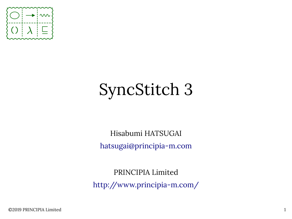

# SyncStitch 3

Hisabumi HATSUGAI [hatsugai@principia-m.com](mailto:hatsugai@principia-m.com)

PRINCIPIA Limited <http://www.principia-m.com/>

©2019 PRINCIPIA Limited 1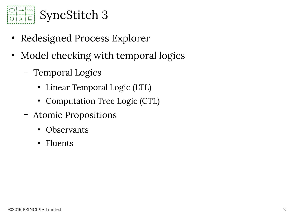

- Redesigned Process Explorer
- Model checking with temporal logics
	- Temporal Logics
		- Linear Temporal Logic (LTL)
		- Computation Tree Logic (CTL)
	- Atomic Propositions
		- **Observants**
		- **Fluents**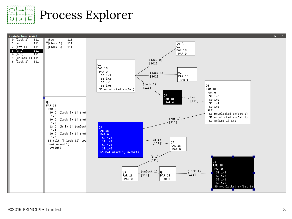

### Process Explorer

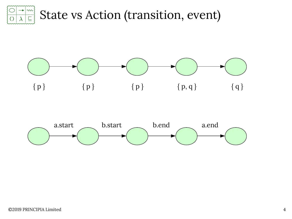

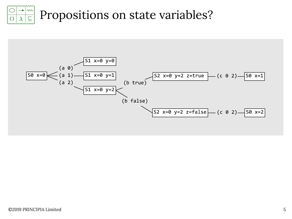

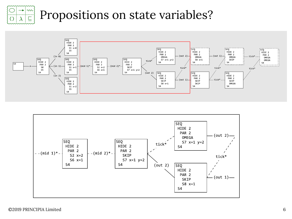#### $\sim$ Propositions on state variables? $\Box$



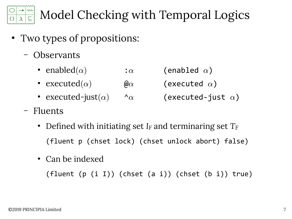

## Model Checking with Temporal Logics

- Two types of propositions:
	- Observants
		- enabled $(\alpha)$  :  $\alpha$  (enabled  $\alpha$ )
		- executed  $(\alpha)$  (executed  $\alpha$ )
		- executed-just( $\alpha$ )  $\alpha$  (executed-just  $\alpha$ )

- Fluents
	- Defned with initiating set *IF* and terminaring set *T<sup>F</sup>* (fluent p (chset lock) (chset unlock abort) false)
	- Can be indexed

(fluent (p (i I)) (chset (a i)) (chset (b i)) true)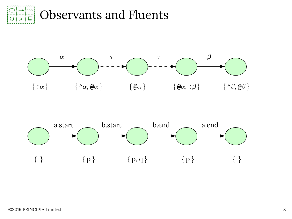



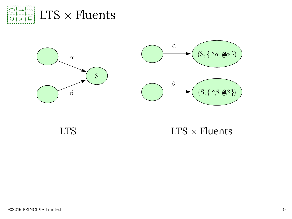



LTS

 $LTS \times$  Fluents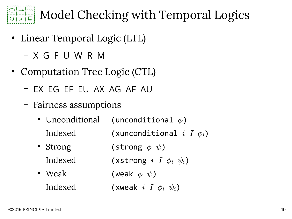

Model Checking with Temporal Logics

- Linear Temporal Logic (LTL)
	- X G F U W R M
- Computation Tree Logic (CTL)
	- EX EG EF EU AX AG AF AU
	- Fairness assumptions
		- Unconditional (unconditional  $\phi$ ) Indexed (xunconditional  $i$   $I$   $\phi_i$ )
		- Strong (strong  $\phi \psi$ ) Indexed (xstrong  $i$  I  $\phi_i$   $\psi_i$ )
		- Weak (weak  $\phi \psi$ ) Indexed (xweak  $i$  I  $\phi_i$   $\psi_i$ )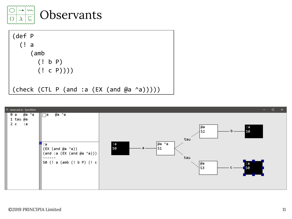

(def P (! a (amb (! b P) (! c P)))) (check (CTL P (and :a (EX (and @a ^a)))))

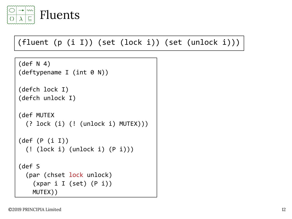

### (fluent (p (i I)) (set (lock i)) (set (unlock i)))

```
(def N 4)
(deftypename I (int 0 N))
```

```
(defch lock I)
(defch unlock I)
```

```
(def MUTEX
   (? lock (i) (! (unlock i) MUTEX)))
```

```
(def (P (i I))
   (! (lock i) (unlock i) (P i)))
```
(def S (par (chset lock unlock)  $(xpar i I (set) (P i))$ MUTEX))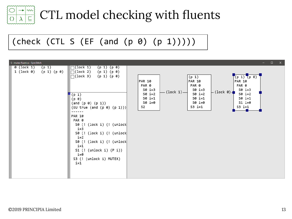

### CTL model checking with fuents

### (check (CTL S (EF (and (p 0) (p 1)))))

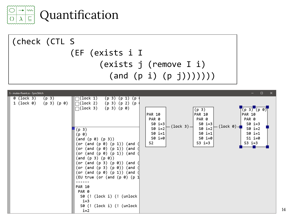



| S - mutex-fluent.ss - SyncStitch                                                                                                                                                                                                                                                                                                                                                                                                                                                                                                                                                                                                                        | $\Box$<br>$\mathbf{x}$                                                                                                                                                                                                                                                                                                                                                                                                |
|---------------------------------------------------------------------------------------------------------------------------------------------------------------------------------------------------------------------------------------------------------------------------------------------------------------------------------------------------------------------------------------------------------------------------------------------------------------------------------------------------------------------------------------------------------------------------------------------------------------------------------------------------------|-----------------------------------------------------------------------------------------------------------------------------------------------------------------------------------------------------------------------------------------------------------------------------------------------------------------------------------------------------------------------------------------------------------------------|
| 0 (lock 3)<br>(p <sub>3</sub> )<br>$\bigcap (\texttt{lock 1})$<br>(p 3)<br>(p<br>(p<br>1)<br>$(p 3)$ $(p 0)$<br>$\Box$ (lock 2)<br>$1$ (lock $\theta$ )<br>(p 3)<br>$(p 2)$ $(p$<br>$\bigcap$ (lock 3)<br>(p 3) (p 0)<br>(p <sub>3</sub> )<br>(p 0)<br>(p 0) (p 3))<br>(and<br>(and (p 0) (p 1)) (and<br>(or<br>(p 1))<br>(or<br>(and (p 0))<br>(and<br>(and (p 0) (p 1)) (and<br>(or<br>(and (p 3) (p 0))<br>(and (p 3) (p 0)) (and<br>(or<br>(and (p 3) (p 0)) (and<br>(or<br>(and (p 0) (p 1)) (and<br>(or<br>(EU true (or (and (p 0) (p<br><b>PAR 10</b><br>PAR 0<br>(lock i) (! (unlock<br>S0 (!<br>$i=3$<br>(lock i) (! (unlock<br>S0 (!<br>$i=2$ | T(p 3) (p 0)<br>(p <sub>3</sub> )<br>PAR 10<br><b>PAR 10</b><br><b>PAR 10</b><br>PAR 0<br>PAR 0<br>PAR 0<br>S0 i=3 $ $<br>S0 i=3 $ $<br>$S0$ i=3<br>$(\text{lock } 3)$ $-$<br>$(\text{lock } \theta)$ -<br>$S0$ i=2<br>$S0$ i=2<br>$S0$ i=2<br>$50 i=1$<br>$S0$ i=1<br>$S0$ i=1<br>$\left  \begin{smallmatrix} 50 & i = 0 \\ 1 & 0 \end{smallmatrix} \right $<br>$SO \ i=0$<br>$S1$ i=0<br>$S3$ i=3<br>$S3$ i=3<br>S2 |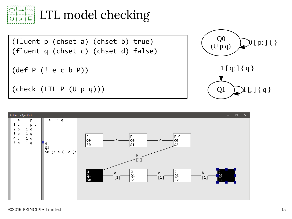

LTL model checking

(fluent p (chset a) (chset b) true) (fluent q (chset c) (chset d) false) (def P (! e c b P)) (check (LTL P (U p q)))



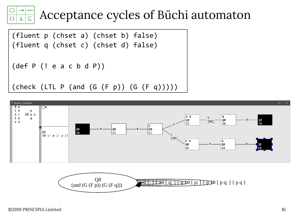# Acceptance cycles of Büchi automaton